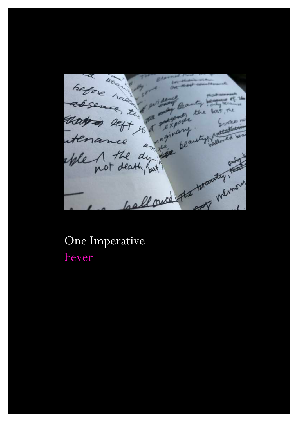hefore have  $B$ tamal Ha on not constern absence , zu führt Banty wird that is the form of the window that is the distinction of the window of the distinguished and the distinguished and the common Leasth faith

# One Imperative Fever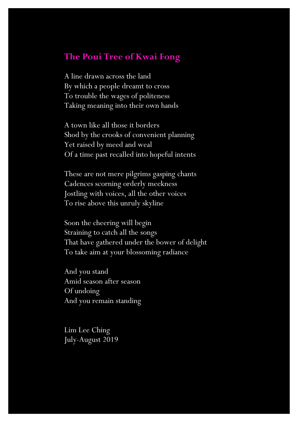#### **The Poui Tree of Kwai Fong**

A line drawn across the land By which a people dreamt to cross To trouble the wages of politeness Taking meaning into their own hands

A town like all those it borders Shod by the crooks of convenient planning Yet raised by meed and weal Of a time past recalled into hopeful intents

These are not mere pilgrims gasping chants Cadences scorning orderly meekness Jostling with voices, all the other voices To rise above this unruly skyline

Soon the cheering will begin Straining to catch all the songs That have gathered under the bower of delight To take aim at your blossoming radiance

And you stand Amid season after season Of undoing And you remain standing

Lim Lee Ching July-August 2019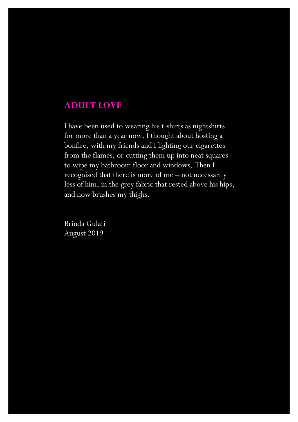#### **ADULT LOVE**

I have been used to wearing his t-shirts as nightshirts for more than a year now. I thought about hosting a bonfire, with my friends and I lighting our cigarettes from the flames, or cutting them up into neat squares to wipe my bathroom floor and windows. Then I recognised that there is more of me – not necessarily less of him, in the grey fabric that rested above his hips, and now brushes my thighs.

Brinda Gulati August 2019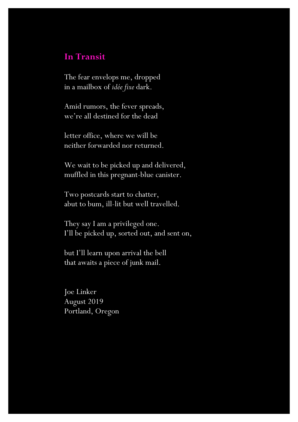#### **In Transit**

The fear envelops me, dropped in a mailbox of *idée fixe* dark.

Amid rumors, the fever spreads, we're all destined for the dead

letter office, where we will be neither forwarded nor returned.

We wait to be picked up and delivered, muffled in this pregnant-blue canister.

Two postcards start to chatter, abut to bum, ill-lit but well travelled.

They say I am a privileged one. I'll be picked up, sorted out, and sent on,

but I'll learn upon arrival the bell that awaits a piece of junk mail.

Joe Linker August 2019 Portland, Oregon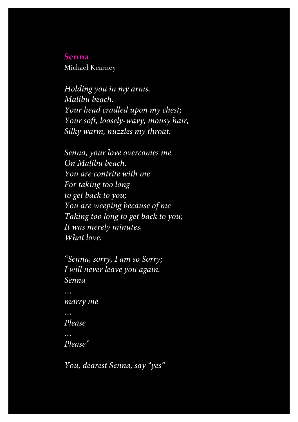#### **Senna**

Michael Kearney

*Holding you in my arms, Malibu beach. Your head cradled upon my chest; Your soft, loosely-wavy, mousy hair, Silky warm, nuzzles my throat.*

*Senna, your love overcomes me On Malibu beach. You are contrite with me For taking too long to get back to you; You are weeping because of me Taking too long to get back to you; It was merely minutes, What love.*

```
"Senna, sorry, I am so Sorry;
I will never leave you again.
Senna
…
marry me
…
Please
…
Please"
```
*You, dearest Senna, say "yes"*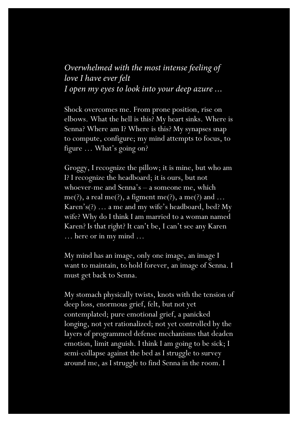### *Overwhelmed with the most intense feeling of love I have ever felt I open my eyes to look into your deep azure …*

Shock overcomes me. From prone position, rise on elbows. What the hell is this? My heart sinks. Where is Senna? Where am I? Where is this? My synapses snap to compute, configure; my mind attempts to focus, to figure … What's going on?

Groggy, I recognize the pillow; it is mine, but who am I? I recognize the headboard; it is ours, but not whoever-me and Senna's – a someone me, which me(?), a real me(?), a figment me(?), a me(?) and ... Karen's(?) … a me and my wife's headboard, bed? My wife? Why do I think I am married to a woman named Karen? Is that right? It can't be, I can't see any Karen … here or in my mind …

My mind has an image, only one image, an image I want to maintain, to hold forever, an image of Senna. I must get back to Senna.

My stomach physically twists, knots with the tension of deep loss, enormous grief, felt, but not yet contemplated; pure emotional grief, a panicked longing, not yet rationalized; not yet controlled by the layers of programmed defense mechanisms that deaden emotion, limit anguish. I think I am going to be sick; I semi-collapse against the bed as I struggle to survey around me, as I struggle to find Senna in the room. I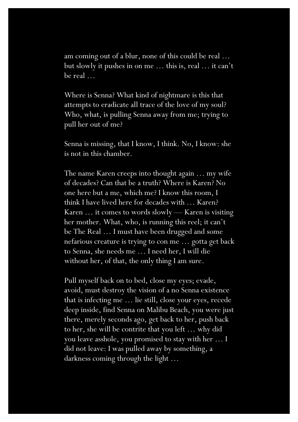am coming out of a blur, none of this could be real … but slowly it pushes in on me … this is, real … it can't be real …

Where is Senna? What kind of nightmare is this that attempts to eradicate all trace of the love of my soul? Who, what, is pulling Senna away from me; trying to pull her out of me?

Senna is missing, that I know, I think. No, I know: she is not in this chamber.

The name Karen creeps into thought again … my wife of decades? Can that be a truth? Where is Karen? No one here but a me, which me? I know this room, I think I have lived here for decades with … Karen? Karen … it comes to words slowly — Karen is visiting her mother. What, who, is running this reel; it can't be The Real … I must have been drugged and some nefarious creature is trying to con me … gotta get back to Senna, she needs me … I need her, I will die without her, of that, the only thing I am sure.

Pull myself back on to bed, close my eyes; evade, avoid, must destroy the vision of a no Senna existence that is infecting me … lie still, close your eyes, recede deep inside, find Senna on Malibu Beach, you were just there, merely seconds ago, get back to her, push back to her, she will be contrite that you left … why did you leave asshole, you promised to stay with her … I did not leave: I was pulled away by something, a darkness coming through the light …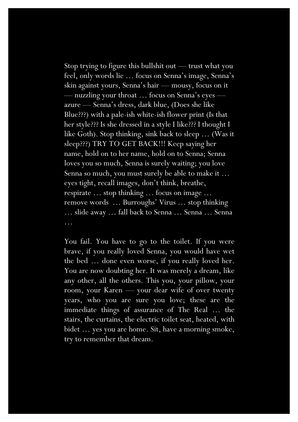Stop trying to figure this bullshit out — trust what you feel, only words lie … focus on Senna's image, Senna's skin against yours, Senna's hair — mousy, focus on it — nuzzling your throat … focus on Senna's eyes azure — Senna's dress, dark blue, (Does she like Blue???) with a pale-ish white-ish flower print (Is that her style??? Is she dressed in a style I like??? I thought I like Goth). Stop thinking, sink back to sleep … (Was it sleep???) TRY TO GET BACK!!! Keep saying her name, hold on to her name, hold on to Senna; Senna loves you so much, Senna is surely waiting; you love Senna so much, you must surely be able to make it … eyes tight, recall images, don't think, breathe, respirate … stop thinking … focus on image … remove words … Burroughs' Virus … stop thinking … slide away … fall back to Senna … Senna … Senna …

You fail. You have to go to the toilet. If you were brave, if you really loved Senna, you would have wet the bed … done even worse, if you really loved her. You are now doubting her. It was merely a dream, like any other, all the others. This you, your pillow, your room, your Karen — your dear wife of over twenty years, who you are sure you love; these are the immediate things of assurance of The Real … the stairs, the curtains, the electric toilet seat, heated, with bidet … yes you are home. Sit, have a morning smoke, try to remember that dream.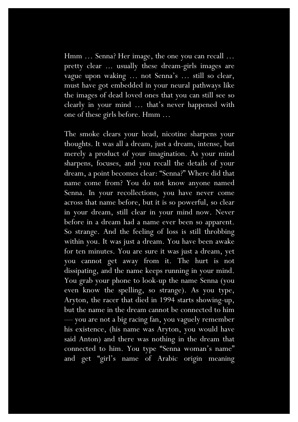Hmm ... Senna? Her image, the one you can recall ... pretty clear ... usually these dream-girls images are vague upon waking … not Senna's … still so clear, must have got embedded in your neural pathways like the images of dead loved ones that you can still see so clearly in your mind … that's never happened with one of these girls before. Hmm …

The smoke clears your head, nicotine sharpens your thoughts. It was all a dream, just a dream, intense, but merely a product of your imagination. As your mind sharpens, focuses, and you recall the details of your dream, a point becomes clear: "Senna?" Where did that name come from? You do not know anyone named Senna. In your recollections, you have never come across that name before, but it is so powerful, so clear in your dream, still clear in your mind now. Never before in a dream had a name ever been so apparent. So strange. And the feeling of loss is still throbbing within you. It was just a dream. You have been awake for ten minutes. You are sure it was just a dream, yet you cannot get away from it. The hurt is not dissipating, and the name keeps running in your mind. You grab your phone to look-up the name Senna (you even know the spelling, so strange). As you type, Aryton, the racer that died in 1994 starts showing-up, but the name in the dream cannot be connected to him — you are not a big racing fan, you vaguely remember his existence, (his name was Aryton, you would have said Anton) and there was nothing in the dream that connected to him. You type "Senna woman's name" and get "girl's name of Arabic origin meaning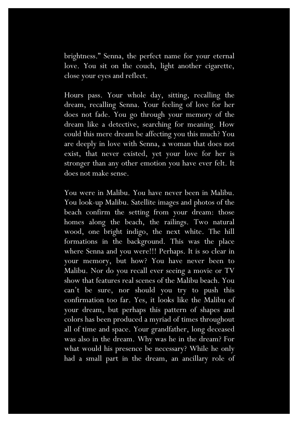brightness." Senna, the perfect name for your eternal love. You sit on the couch, light another cigarette, close your eyes and reflect.

Hours pass. Your whole day, sitting, recalling the dream, recalling Senna. Your feeling of love for her does not fade. You go through your memory of the dream like a detective, searching for meaning. How could this mere dream be affecting you this much? You are deeply in love with Senna, a woman that does not exist, that never existed, yet your love for her is stronger than any other emotion you have ever felt. It does not make sense.

You were in Malibu. You have never been in Malibu. You look-up Malibu. Satellite images and photos of the beach confirm the setting from your dream: those homes along the beach, the railings. Two natural wood, one bright indigo, the next white. The hill formations in the background. This was the place where Senna and you were!!! Perhaps. It is so clear in your memory, but how? You have never been to Malibu. Nor do you recall ever seeing a movie or TV show that features real scenes of the Malibu beach. You can't be sure, nor should you try to push this confirmation too far. Yes, it looks like the Malibu of your dream, but perhaps this pattern of shapes and colors has been produced a myriad of times throughout all of time and space. Your grandfather, long deceased was also in the dream. Why was he in the dream? For what would his presence be necessary? While he only had a small part in the dream, an ancillary role of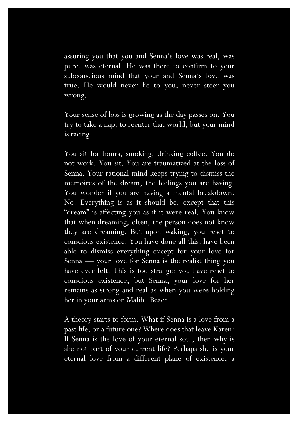assuring you that you and Senna's love was real, was pure, was eternal. He was there to confirm to your subconscious mind that your and Senna's love was true. He would never lie to you, never steer you wrong.

Your sense of loss is growing as the day passes on. You try to take a nap, to reenter that world, but your mind is racing.

You sit for hours, smoking, drinking coffee. You do not work. You sit. You are traumatized at the loss of Senna. Your rational mind keeps trying to dismiss the memoires of the dream, the feelings you are having. You wonder if you are having a mental breakdown. No. Everything is as it should be, except that this "dream" is affecting you as if it were real. You know that when dreaming, often, the person does not know they are dreaming. But upon waking, you reset to conscious existence. You have done all this, have been able to dismiss everything except for your love for Senna — your love for Senna is the realist thing you have ever felt. This is too strange: you have reset to conscious existence, but Senna, your love for her remains as strong and real as when you were holding her in your arms on Malibu Beach.

A theory starts to form. What if Senna is a love from a past life, or a future one? Where does that leave Karen? If Senna is the love of your eternal soul, then why is she not part of your current life? Perhaps she is your eternal love from a different plane of existence, a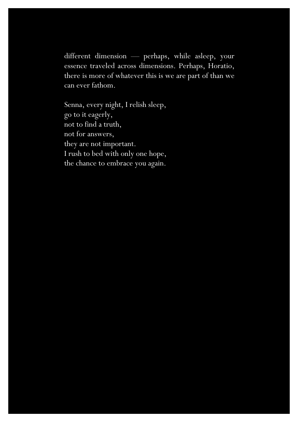different dimension — perhaps, while asleep, your essence traveled across dimensions. Perhaps, Horatio, there is more of whatever this is we are part of than we can ever fathom.

Senna, every night, I relish sleep, go to it eagerly, not to find a truth, not for answers, they are not important. I rush to bed with only one hope, the chance to embrace you again.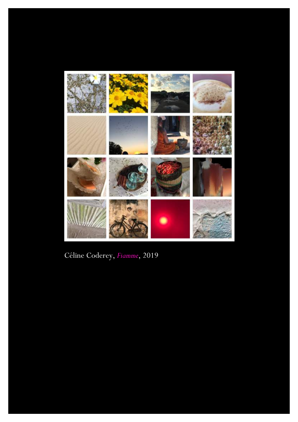

Céline Coderey, *Fiamme*, 2019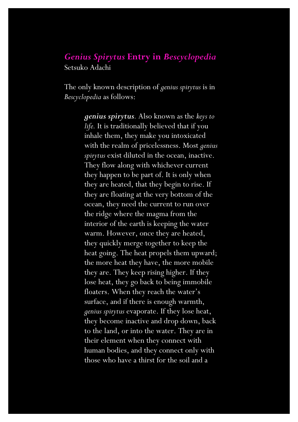#### *Genius Spirytus* **Entry in** *Bescyclopedia* Setsuko Adachi

The only known description of *genius spirytus* is in *Bescyclopedia* as follows:

> *genius spirytus.* Also known as the *keys to life.* It is traditionally believed that if you inhale them, they make you intoxicated with the realm of pricelessness. Most *genius spirytus* exist diluted in the ocean, inactive. They flow along with whichever current they happen to be part of. It is only when they are heated, that they begin to rise. If they are floating at the very bottom of the ocean, they need the current to run over the ridge where the magma from the interior of the earth is keeping the water warm. However, once they are heated, they quickly merge together to keep the heat going. The heat propels them upward; the more heat they have, the more mobile they are. They keep rising higher. If they lose heat, they go back to being immobile floaters. When they reach the water's surface, and if there is enough warmth, *genius spirytus* evaporate. If they lose heat, they become inactive and drop down, back to the land, or into the water. They are in their element when they connect with human bodies, and they connect only with those who have a thirst for the soil and a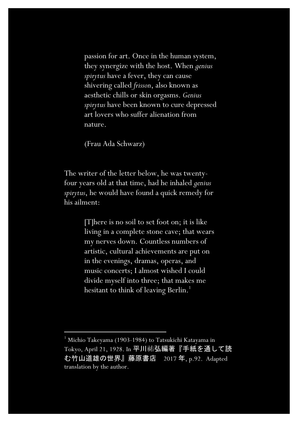passion for art. Once in the human system, they synergize with the host. When *genius spirytus* have a fever, they can cause shivering called *frisson*, also known as aesthetic chills or skin orgasms. *Genius spirytus* have been known to cure depressed art lovers who suffer alienation from nature.

(Frau Ada Schwarz)

The writer of the letter below, he was twentyfour years old at that time, had he inhaled *genius spirytus*, he would have found a quick remedy for his ailment:

> [T]here is no soil to set foot on; it is like living in a complete stone cave; that wears my nerves down. Countless numbers of artistic, cultural achievements are put on in the evenings, dramas, operas, and music concerts; I almost wished I could divide myself into three; that makes me hesitant to think of leaving Berlin.<sup>1</sup>

<sup>1</sup> Michio Takeyama (1903-1984) to Tatsukichi Katayama in Tokyo, April 21, 1928. In 平川祐弘編著『手紙を通して読 む竹山道雄の世界』藤原書店 2017 年, p.92. Adapted translation by the author.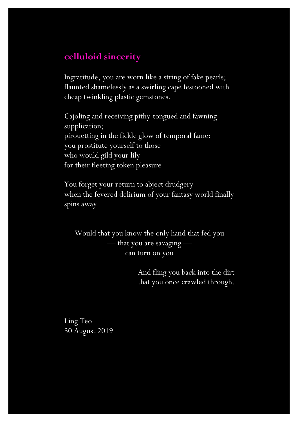# **celluloid sincerity**

Ingratitude, you are worn like a string of fake pearls; flaunted shamelessly as a swirling cape festooned with cheap twinkling plastic gemstones.

Cajoling and receiving pithy-tongued and fawning supplication; pirouetting in the fickle glow of temporal fame; you prostitute yourself to those who would gild your lily for their fleeting token pleasure

You forget your return to abject drudgery when the fevered delirium of your fantasy world finally spins away

Would that you know the only hand that fed you — that you are savaging can turn on you

> And fling you back into the dirt that you once crawled through.

Ling Teo 30 August 2019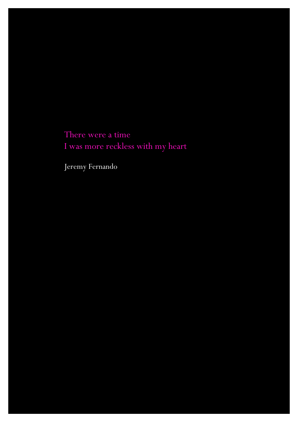There were a time I was more reckless with my heart

Jeremy Fernando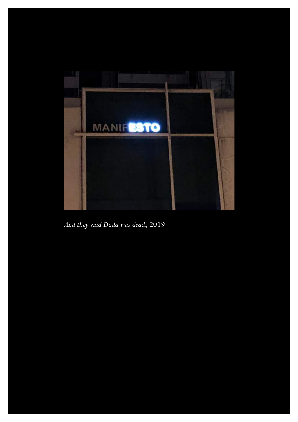

*And they said Dada was dead*, 2019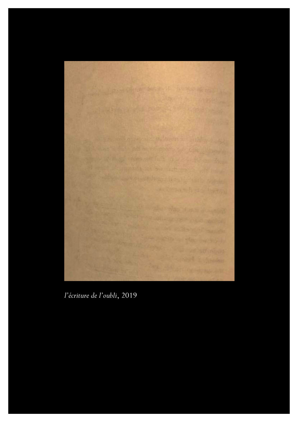

*l'écriture de l'oubli*, 2019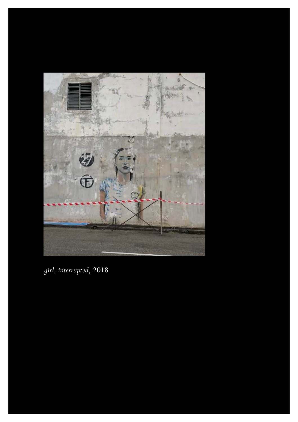

*girl, interrupted*, 2018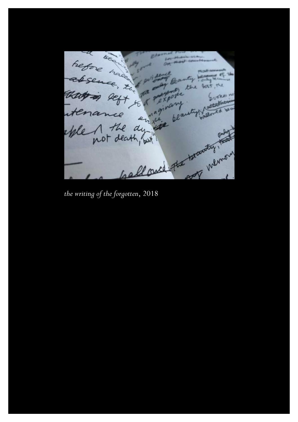Refore have on most counters With Banty  $e \in H$ absence , En 1 port  $.$   $g$  aby the bost, the that is left to a perform Evenes no out personer **Nuttakeen** re plant of determined itenance *the Witting of the forgotten*, 2018 eble 1 the dy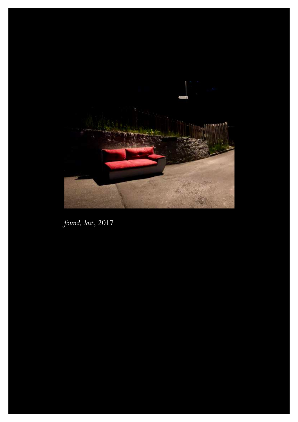

*found, lost*, 2017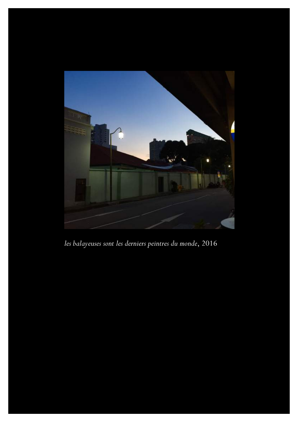

*les balayeuses sont les derniers peintres du monde*, 2016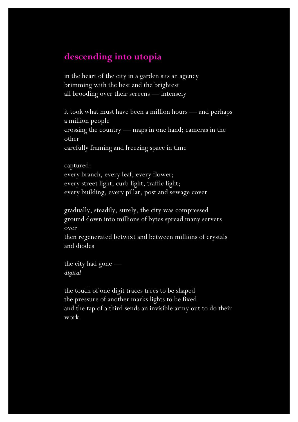# **descending into utopia**

in the heart of the city in a garden sits an agency brimming with the best and the brightest all brooding over their screens — intensely

it took what must have been a million hours — and perhaps a million people crossing the country — maps in one hand; cameras in the other carefully framing and freezing space in time

captured: every branch, every leaf, every flower; every street light, curb light, traffic light; every building, every pillar, post and sewage cover

gradually, steadily, surely, the city was compressed ground down into millions of bytes spread many servers over

then regenerated betwixt and between millions of crystals and diodes

the city had gone *digital*

the touch of one digit traces trees to be shaped the pressure of another marks lights to be fixed and the tap of a third sends an invisible army out to do their work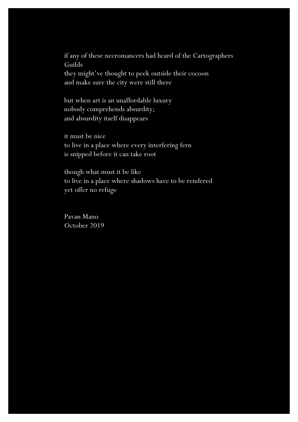if any of these necromancers had heard of the Cartographers Guilds they might've thought to peek outside their cocoon and make sure the city were still there

but when art is an unaffordable luxury nobody comprehends absurdity; and absurdity itself disappears

it must be nice to live in a place where every interfering fern is snipped before it can take root

though what must it be like to live in a place where shadows have to be rendered yet offer no refuge

Pavan Mano October 2019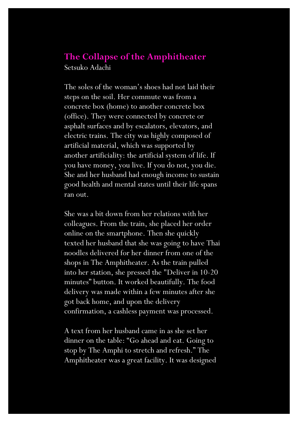## **The Collapse of the Amphitheater** Setsuko Adachi

The soles of the woman's shoes had not laid their steps on the soil. Her commute was from a concrete box (home) to another concrete box (office). They were connected by concrete or asphalt surfaces and by escalators, elevators, and electric trains. The city was highly composed of artificial material, which was supported by another artificiality: the artificial system of life. If you have money, you live. If you do not, you die. She and her husband had enough income to sustain good health and mental states until their life spans ran out.

She was a bit down from her relations with her colleagues. From the train, she placed her order online on the smartphone. Then she quickly texted her husband that she was going to have Thai noodles delivered for her dinner from one of the shops in The Amphitheater. As the train pulled into her station, she pressed the "Deliver in 10-20 minutes" button. It worked beautifully. The food delivery was made within a few minutes after she got back home, and upon the delivery confirmation, a cashless payment was processed.

A text from her husband came in as she set her dinner on the table: "Go ahead and eat. Going to stop by The Amphi to stretch and refresh." The Amphitheater was a great facility. It was designed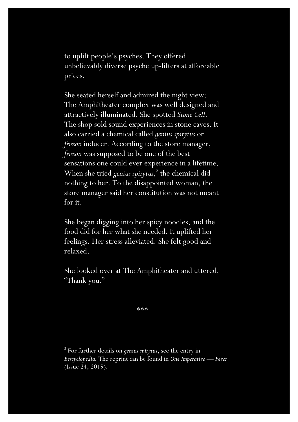to uplift people's psyches. They offered unbelievably diverse psyche up-lifters at affordable prices.

She seated herself and admired the night view: The Amphitheater complex was well designed and attractively illuminated. She spotted *Stone Cell*. The shop sold sound experiences in stone caves. It also carried a chemical called *genius spirytus* or *frisson* inducer. According to the store manager, *frisson* was supposed to be one of the best sensations one could ever experience in a lifetime. When she tried *genius spirytus*, *<sup>2</sup>* the chemical did nothing to her. To the disappointed woman, the store manager said her constitution was not meant for it.

She began digging into her spicy noodles, and the food did for her what she needed. It uplifted her feelings. Her stress alleviated. She felt good and relaxed.

She looked over at The Amphitheater and uttered, "Thank you."

\*\*\*

<sup>2</sup> For further details on *genius spirytus*, see the entry in *Bescyclopedia.* The reprint can be found in *One Imperative* — *Fever* (Issue 24, 2019).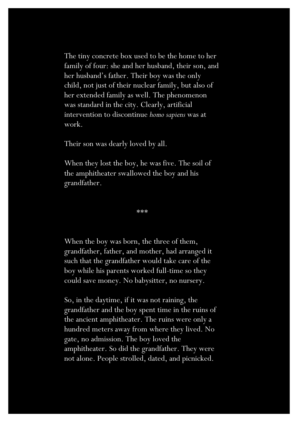The tiny concrete box used to be the home to her family of four: she and her husband, their son, and her husband's father. Their boy was the only child, not just of their nuclear family, but also of her extended family as well. The phenomenon was standard in the city. Clearly, artificial intervention to discontinue *homo sapiens* was at work.

Their son was dearly loved by all.

When they lost the boy, he was five. The soil of the amphitheater swallowed the boy and his grandfather.

\*\*\*

When the boy was born, the three of them, grandfather, father, and mother, had arranged it such that the grandfather would take care of the boy while his parents worked full-time so they could save money. No babysitter, no nursery.

So, in the daytime, if it was not raining, the grandfather and the boy spent time in the ruins of the ancient amphitheater. The ruins were only a hundred meters away from where they lived. No gate, no admission. The boy loved the amphitheater. So did the grandfather. They were not alone. People strolled, dated, and picnicked.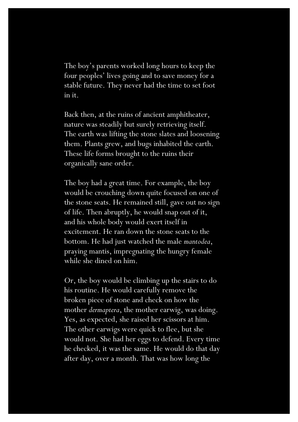The boy's parents worked long hours to keep the four peoples' lives going and to save money for a stable future. They never had the time to set foot in it.

Back then, at the ruins of ancient amphitheater, nature was steadily but surely retrieving itself. The earth was lifting the stone slates and loosening them. Plants grew, and bugs inhabited the earth. These life forms brought to the ruins their organically sane order.

The boy had a great time. For example, the boy would be crouching down quite focused on one of the stone seats. He remained still, gave out no sign of life. Then abruptly, he would snap out of it, and his whole body would exert itself in excitement. He ran down the stone seats to the bottom. He had just watched the male *mantodea*, praying mantis, impregnating the hungry female while she dined on him.

Or, the boy would be climbing up the stairs to do his routine. He would carefully remove the broken piece of stone and check on how the mother *dermaptera*, the mother earwig, was doing. Yes, as expected, she raised her scissors at him. The other earwigs were quick to flee, but she would not. She had her eggs to defend. Every time he checked, it was the same. He would do that day after day, over a month. That was how long the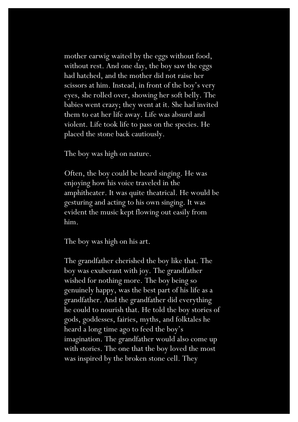mother earwig waited by the eggs without food, without rest. And one day, the boy saw the eggs had hatched, and the mother did not raise her scissors at him. Instead, in front of the boy's very eyes, she rolled over, showing her soft belly. The babies went crazy; they went at it. She had invited them to eat her life away. Life was absurd and violent. Life took life to pass on the species. He placed the stone back cautiously.

The boy was high on nature.

Often, the boy could be heard singing. He was enjoying how his voice traveled in the amphitheater. It was quite theatrical. He would be gesturing and acting to his own singing. It was evident the music kept flowing out easily from him.

The boy was high on his art.

The grandfather cherished the boy like that. The boy was exuberant with joy. The grandfather wished for nothing more. The boy being so genuinely happy, was the best part of his life as a grandfather. And the grandfather did everything he could to nourish that. He told the boy stories of gods, goddesses, fairies, myths, and folktales he heard a long time ago to feed the boy's imagination. The grandfather would also come up with stories. The one that the boy loved the most was inspired by the broken stone cell. They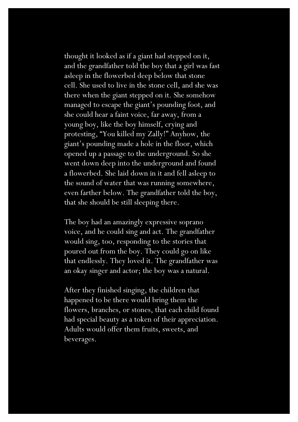thought it looked as if a giant had stepped on it, and the grandfather told the boy that a girl was fast asleep in the flowerbed deep below that stone cell. She used to live in the stone cell, and she was there when the giant stepped on it. She somehow managed to escape the giant's pounding foot, and she could hear a faint voice, far away, from a young boy, like the boy himself, crying and protesting, "You killed my Zally!" Anyhow, the giant's pounding made a hole in the floor, which opened up a passage to the underground. So she went down deep into the underground and found a flowerbed. She laid down in it and fell asleep to the sound of water that was running somewhere, even farther below. The grandfather told the boy, that she should be still sleeping there.

The boy had an amazingly expressive soprano voice, and he could sing and act. The grandfather would sing, too, responding to the stories that poured out from the boy. They could go on like that endlessly. They loved it. The grandfather was an okay singer and actor; the boy was a natural.

After they finished singing, the children that happened to be there would bring them the flowers, branches, or stones, that each child found had special beauty as a token of their appreciation. Adults would offer them fruits, sweets, and beverages.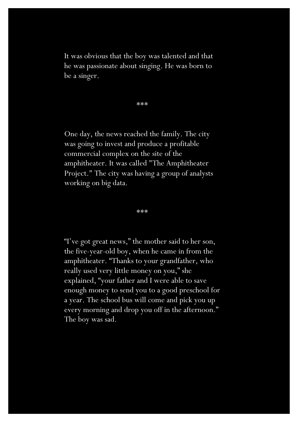It was obvious that the boy was talented and that he was passionate about singing. He was born to be a singer.

\*\*\*

One day, the news reached the family. The city was going to invest and produce a profitable commercial complex on the site of the amphitheater. It was called "The Amphitheater Project." The city was having a group of analysts working on big data.

\*\*\*

"I've got great news," the mother said to her son, the five-year-old boy, when he came in from the amphitheater. "Thanks to your grandfather, who really used very little money on you," she explained, "your father and I were able to save enough money to send you to a good preschool for a year. The school bus will come and pick you up every morning and drop you off in the afternoon." The boy was sad.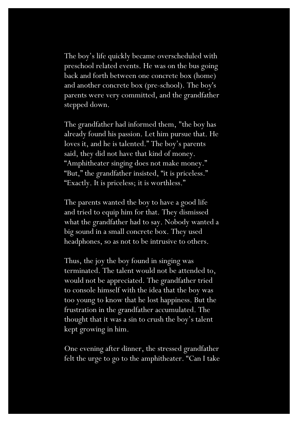The boy's life quickly became overscheduled with preschool related events. He was on the bus going back and forth between one concrete box (home) and another concrete box (pre-school). The boy's parents were very committed, and the grandfather stepped down.

The grandfather had informed them, "the boy has already found his passion. Let him pursue that. He loves it, and he is talented." The boy's parents said, they did not have that kind of money. "Amphitheater singing does not make money." "But," the grandfather insisted, "it is priceless." "Exactly. It is priceless; it is worthless."

The parents wanted the boy to have a good life and tried to equip him for that. They dismissed what the grandfather had to say. Nobody wanted a big sound in a small concrete box. They used headphones, so as not to be intrusive to others.

Thus, the joy the boy found in singing was terminated. The talent would not be attended to, would not be appreciated. The grandfather tried to console himself with the idea that the boy was too young to know that he lost happiness. But the frustration in the grandfather accumulated. The thought that it was a sin to crush the boy's talent kept growing in him.

One evening after dinner, the stressed grandfather felt the urge to go to the amphitheater. "Can I take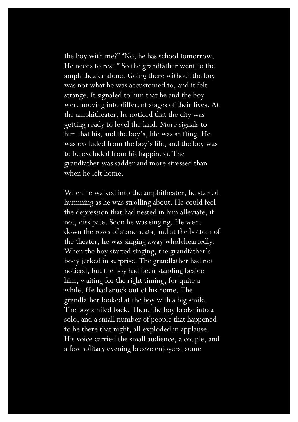the boy with me?" "No, he has school tomorrow. He needs to rest." So the grandfather went to the amphitheater alone. Going there without the boy was not what he was accustomed to, and it felt strange. It signaled to him that he and the boy were moving into different stages of their lives. At the amphitheater, he noticed that the city was getting ready to level the land. More signals to him that his, and the boy's, life was shifting. He was excluded from the boy's life, and the boy was to be excluded from his happiness. The grandfather was sadder and more stressed than when he left home.

When he walked into the amphitheater, he started humming as he was strolling about. He could feel the depression that had nested in him alleviate, if not, dissipate. Soon he was singing. He went down the rows of stone seats, and at the bottom of the theater, he was singing away wholeheartedly. When the boy started singing, the grandfather's body jerked in surprise. The grandfather had not noticed, but the boy had been standing beside him, waiting for the right timing, for quite a while. He had snuck out of his home. The grandfather looked at the boy with a big smile. The boy smiled back. Then, the boy broke into a solo, and a small number of people that happened to be there that night, all exploded in applause. His voice carried the small audience, a couple, and a few solitary evening breeze enjoyers, some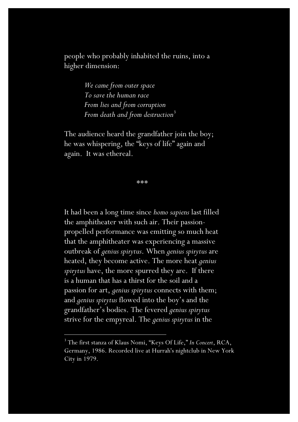people who probably inhabited the ruins, into a higher dimension:

> *We came from outer space To save the human race From lies and from corruption From death and from destruction*<sup>3</sup>

The audience heard the grandfather join the boy; he was whispering, the "keys of life" again and again. It was ethereal.

\*\*\*

It had been a long time since *homo sapiens* last filled the amphitheater with such air. Their passionpropelled performance was emitting so much heat that the amphitheater was experiencing a massive outbreak of *genius spirytus*. When *genius spirytus* are heated, they become active. The more heat *genius spirytus* have, the more spurred they are. If there is a human that has a thirst for the soil and a passion for art, *genius spirytus* connects with them; and *genius spirytus* flowed into the boy's and the grandfather's bodies. The fevered *genius spirytus* strive for the empyreal. The *genius spirytus* in the

<sup>3</sup> The first stanza of Klaus Nomi, "Keys Of Life," *In Concert*, RCA, Germany, 1986. Recorded live at Hurrah's nightclub in New York City in 1979.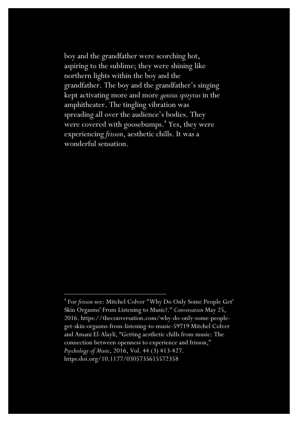boy and the grandfather were scorching hot, aspiring to the sublime; they were shining like northern lights within the boy and the grandfather. The boy and the grandfather's singing kept activating more and more *genius spirytus* in the amphitheater. The tingling vibration was spreading all over the audience's bodies. They were covered with goosebumps.<sup>4</sup> Yes, they were experiencing *frisson*, aesthetic chills. It was a wonderful sensation.

<sup>4</sup> For *frisson* see: Mitchel Colver "Why Do Only Some People Get' Skin Orgasms' From Listening to Music?." *Conversation* May 25, 2016. https://theconversation.com/why-do-only-some-peopleget-skin-orgasms-from-listening-to-music-59719 Mitchel Colver and Amani El-Alayli, "Getting aesthetic chills from music: The connection between openness to experience and frisson," *Psychology of Music*, 2016, Vol. 44 (3) 413-427. https:doi.org/10.1177/0305735615572358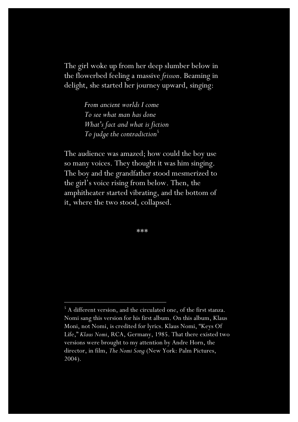The girl woke up from her deep slumber below in the flowerbed feeling a massive *frisson*. Beaming in delight, she started her journey upward, singing:

> *From ancient worlds I come To see what man has done What's fact and what is fiction To judge the contradiction*<sup>5</sup>

The audience was amazed; how could the boy use so many voices. They thought it was him singing. The boy and the grandfather stood mesmerized to the girl's voice rising from below. Then, the amphitheater started vibrating, and the bottom of it, where the two stood, collapsed.

\*\*\*

<sup>&</sup>lt;sup>5</sup> A different version, and the circulated one, of the first stanza. Nomi sang this version for his first album. On this album, Klaus Moni, not Nomi, is credited for lyrics. Klaus Nomi, "Keys Of Life," *Klaus Nomi*, RCA, Germany, 1985. That there existed two versions were brought to my attention by Andre Horn, the director, in film, *The Nomi Song* (New York: Palm Pictures, 2004).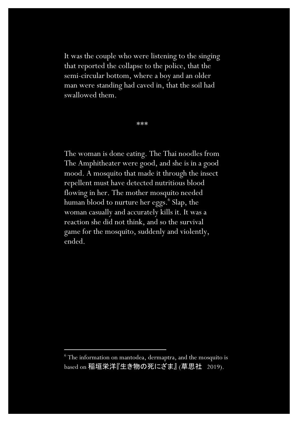It was the couple who were listening to the singing that reported the collapse to the police, that the semi-circular bottom, where a boy and an older man were standing had caved in, that the soil had swallowed them.

\*\*\*

The woman is done eating. The Thai noodles from The Amphitheater were good, and she is in a good mood. A mosquito that made it through the insect repellent must have detected nutritious blood flowing in her. The mother mosquito needed human blood to nurture her eggs.<sup>6</sup> Slap, the woman casually and accurately kills it. It was a reaction she did not think, and so the survival game for the mosquito, suddenly and violently, ended.

 $6$  The information on mantodea, dermaptra, and the mosquito is based on 稲垣栄洋『生き物の死にざま』 (草思社 2019).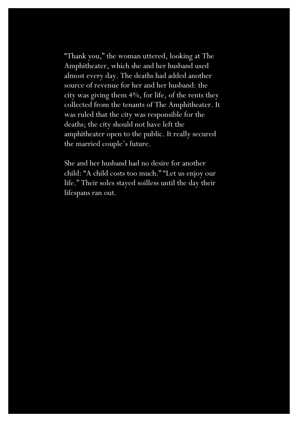"Thank you," the woman uttered, looking at The Amphitheater, which she and her husband used almost every day. The deaths had added another source of revenue for her and her husband: the city was giving them 4%, for life, of the rents they collected from the tenants of The Amphitheater. It was ruled that the city was responsible for the deaths; the city should not have left the amphitheater open to the public. It really secured the married couple's future.

She and her husband had no desire for another child: "A child costs too much." "Let us enjoy our life." Their soles stayed soilless until the day their lifespans ran out.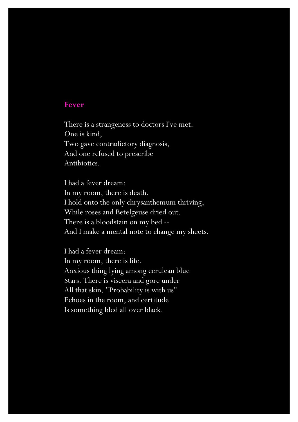#### **Fever**

There is a strangeness to doctors I've met. One is kind, Two gave contradictory diagnosis, And one refused to prescribe Antibiotics.

I had a fever dream: In my room, there is death. I hold onto the only chrysanthemum thriving, While roses and Betelgeuse dried out. There is a bloodstain on my bed -- And I make a mental note to change my sheets.

I had a fever dream: In my room, there is life. Anxious thing lying among cerulean blue Stars. There is viscera and gore under All that skin. "Probability is with us" Echoes in the room, and certitude Is something bled all over black.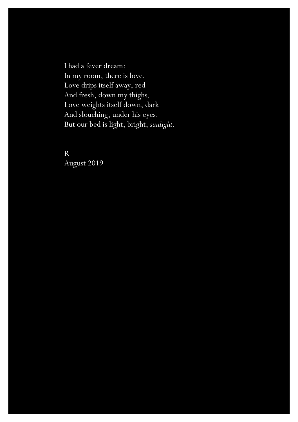I had a fever dream: In my room, there is love. Love drips itself away, red And fresh, down my thighs. Love weights itself down, dark And slouching, under his eyes. But our bed is light, bright, *sunlight*.

R August 2019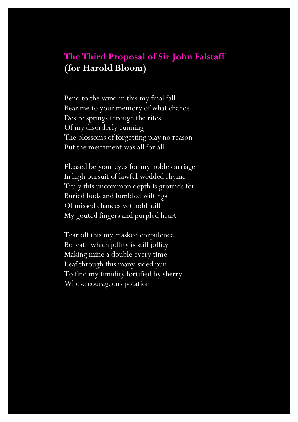# **The Third Proposal of Sir John Falstaff (for Harold Bloom)**

Bend to the wind in this my final fall Bear me to your memory of what chance Desire springs through the rites Of my disorderly cunning The blossoms of forgetting play no reason But the merriment was all for all

Pleased be your eyes for my noble carriage In high pursuit of lawful wedded rhyme Truly this uncommon depth is grounds for Buried buds and fumbled wiltings Of missed chances yet hold still My gouted fingers and purpled heart

Tear off this my masked corpulence Beneath which jollity is still jollity Making mine a double every time Leaf through this many-sided pun To find my timidity fortified by sherry Whose courageous potation